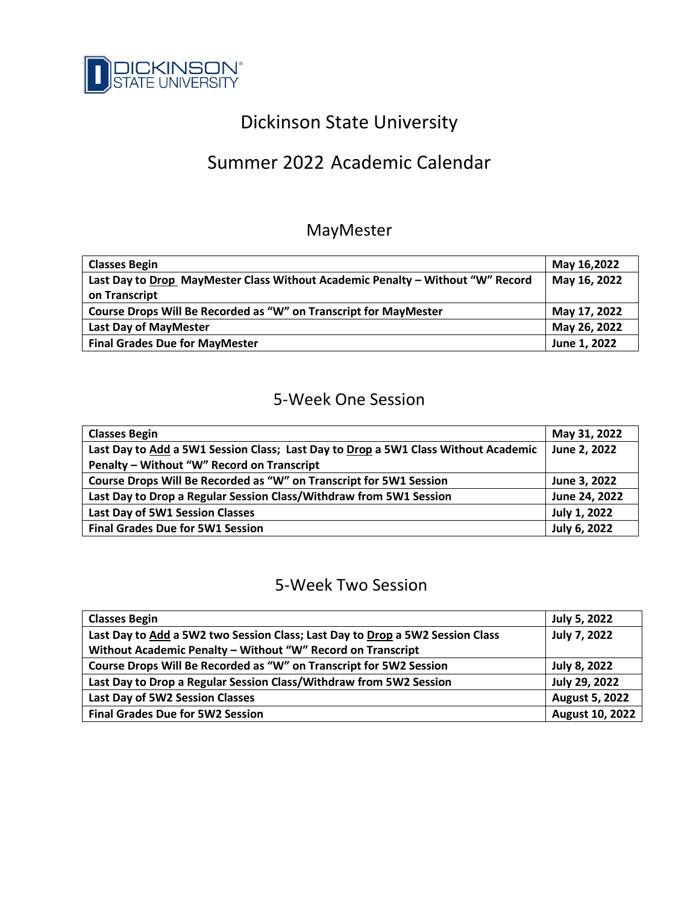

# Dickinson State University

# Summer 2022 Academic Calendar

## MayMester

| <b>Classes Begin</b>                                                           | May 16,2022  |
|--------------------------------------------------------------------------------|--------------|
| Last Day to Drop MayMester Class Without Academic Penalty - Without "W" Record | May 16, 2022 |
| on Transcript                                                                  |              |
| Course Drops Will Be Recorded as "W" on Transcript for MayMester               | May 17, 2022 |
| Last Day of MayMester                                                          | May 26, 2022 |
| <b>Final Grades Due for MayMester</b>                                          | June 1, 2022 |

# 5-Week One Session

| <b>Classes Begin</b>                                                               | May 31, 2022  |
|------------------------------------------------------------------------------------|---------------|
| Last Day to Add a 5W1 Session Class; Last Day to Drop a 5W1 Class Without Academic | June 2, 2022  |
| Penalty - Without "W" Record on Transcript                                         |               |
| Course Drops Will Be Recorded as "W" on Transcript for 5W1 Session                 | June 3, 2022  |
| Last Day to Drop a Regular Session Class/Withdraw from 5W1 Session                 | June 24, 2022 |
| Last Day of 5W1 Session Classes                                                    | July 1, 2022  |
| <b>Final Grades Due for 5W1 Session</b>                                            | July 6, 2022  |

#### 5-Week Two Session

| <b>Classes Begin</b>                                                          | July 5, 2022           |
|-------------------------------------------------------------------------------|------------------------|
| Last Day to Add a 5W2 two Session Class; Last Day to Drop a 5W2 Session Class | <b>July 7, 2022</b>    |
| Without Academic Penalty - Without "W" Record on Transcript                   |                        |
| Course Drops Will Be Recorded as "W" on Transcript for 5W2 Session            | July 8, 2022           |
| Last Day to Drop a Regular Session Class/Withdraw from 5W2 Session            | July 29, 2022          |
| Last Day of 5W2 Session Classes                                               | <b>August 5, 2022</b>  |
| <b>Final Grades Due for 5W2 Session</b>                                       | <b>August 10, 2022</b> |